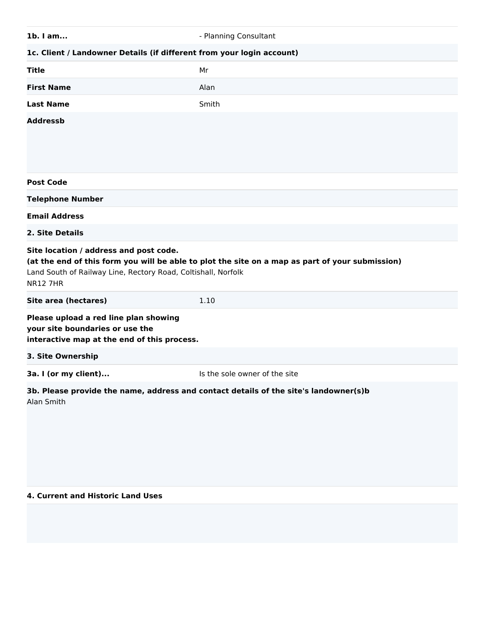| $1b.$ I am                                                                                                                 | - Planning Consultant                                                                           |
|----------------------------------------------------------------------------------------------------------------------------|-------------------------------------------------------------------------------------------------|
| 1c. Client / Landowner Details (if different from your login account)                                                      |                                                                                                 |
| <b>Title</b>                                                                                                               | Mr                                                                                              |
| <b>First Name</b>                                                                                                          | Alan                                                                                            |
| <b>Last Name</b>                                                                                                           | Smith                                                                                           |
| <b>Addressb</b>                                                                                                            |                                                                                                 |
| <b>Post Code</b>                                                                                                           |                                                                                                 |
| <b>Telephone Number</b>                                                                                                    |                                                                                                 |
| <b>Email Address</b>                                                                                                       |                                                                                                 |
| 2. Site Details                                                                                                            |                                                                                                 |
|                                                                                                                            |                                                                                                 |
| Site location / address and post code.<br>Land South of Railway Line, Rectory Road, Coltishall, Norfolk<br><b>NR12 7HR</b> | (at the end of this form you will be able to plot the site on a map as part of your submission) |
| Site area (hectares)                                                                                                       | 1.10                                                                                            |
| Please upload a red line plan showing<br>your site boundaries or use the<br>interactive map at the end of this process.    |                                                                                                 |
| 3. Site Ownership                                                                                                          |                                                                                                 |
| 3a. I (or my client)                                                                                                       | Is the sole owner of the site                                                                   |

#### **4. Current and Historic Land Uses**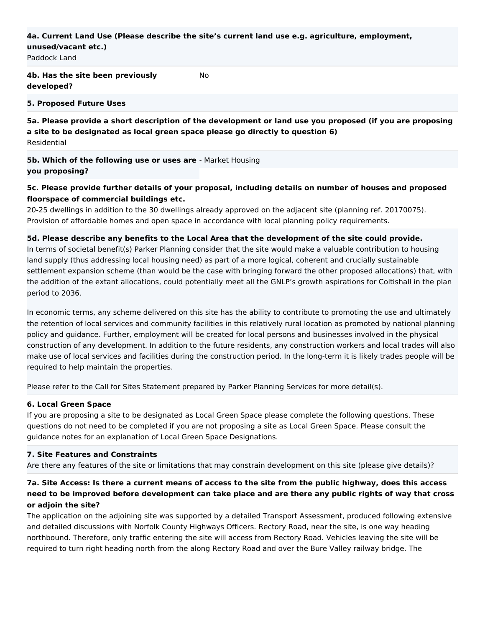#### **4a. Current Land Use (Please describe the site's current land use e.g. agriculture, employment, unused/vacant etc.)**

No

Paddock Land

# **4b. Has the site been previously developed?**

#### **5. Proposed Future Uses**

**5a. Please provide a short description of the development or land use you proposed (if you are proposing a site to be designated as local green space please go directly to question 6)** Residential

**5b. Which of the following use or uses are** - Market Housing **you proposing?**

## **5c. Please provide further details of your proposal, including details on number of houses and proposed floorspace of commercial buildings etc.**

20-25 dwellings in addition to the 30 dwellings already approved on the adjacent site (planning ref. 20170075). Provision of affordable homes and open space in accordance with local planning policy requirements.

#### **5d. Please describe any benefits to the Local Area that the development of the site could provide.**

In terms of societal benefit(s) Parker Planning consider that the site would make a valuable contribution to housing land supply (thus addressing local housing need) as part of a more logical, coherent and crucially sustainable settlement expansion scheme (than would be the case with bringing forward the other proposed allocations) that, with the addition of the extant allocations, could potentially meet all the GNLP's growth aspirations for Coltishall in the plan period to 2036.

In economic terms, any scheme delivered on this site has the ability to contribute to promoting the use and ultimately the retention of local services and community facilities in this relatively rural location as promoted by national planning policy and guidance. Further, employment will be created for local persons and businesses involved in the physical construction of any development. In addition to the future residents, any construction workers and local trades will also make use of local services and facilities during the construction period. In the long-term it is likely trades people will be required to help maintain the properties.

Please refer to the Call for Sites Statement prepared by Parker Planning Services for more detail(s).

#### **6. Local Green Space**

If you are proposing a site to be designated as Local Green Space please complete the following questions. These questions do not need to be completed if you are not proposing a site as Local Green Space. Please consult the guidance notes for an explanation of Local Green Space Designations.

#### **7. Site Features and Constraints**

Are there any features of the site or limitations that may constrain development on this site (please give details)?

## **7a. Site Access: Is there a current means of access to the site from the public highway, does this access need to be improved before development can take place and are there any public rights of way that cross or adjoin the site?**

The application on the adjoining site was supported by a detailed Transport Assessment, produced following extensive and detailed discussions with Norfolk County Highways Officers. Rectory Road, near the site, is one way heading northbound. Therefore, only traffic entering the site will access from Rectory Road. Vehicles leaving the site will be required to turn right heading north from the along Rectory Road and over the Bure Valley railway bridge. The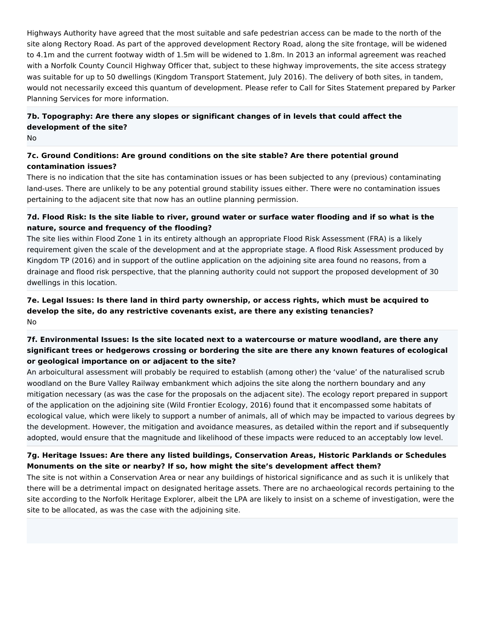Highways Authority have agreed that the most suitable and safe pedestrian access can be made to the north of the site along Rectory Road. As part of the approved development Rectory Road, along the site frontage, will be widened to 4.1m and the current footway width of 1.5m will be widened to 1.8m. In 2013 an informal agreement was reached with a Norfolk County Council Highway Officer that, subject to these highway improvements, the site access strategy was suitable for up to 50 dwellings (Kingdom Transport Statement, July 2016). The delivery of both sites, in tandem, would not necessarily exceed this quantum of development. Please refer to Call for Sites Statement prepared by Parker Planning Services for more information.

# **7b. Topography: Are there any slopes or significant changes of in levels that could affect the development of the site?**

No

## **7c. Ground Conditions: Are ground conditions on the site stable? Are there potential ground contamination issues?**

There is no indication that the site has contamination issues or has been subjected to any (previous) contaminating land-uses. There are unlikely to be any potential ground stability issues either. There were no contamination issues pertaining to the adjacent site that now has an outline planning permission.

## **7d. Flood Risk: Is the site liable to river, ground water or surface water flooding and if so what is the nature, source and frequency of the flooding?**

The site lies within Flood Zone 1 in its entirety although an appropriate Flood Risk Assessment (FRA) is a likely requirement given the scale of the development and at the appropriate stage. A flood Risk Assessment produced by Kingdom TP (2016) and in support of the outline application on the adjoining site area found no reasons, from a drainage and flood risk perspective, that the planning authority could not support the proposed development of 30 dwellings in this location.

## **7e. Legal Issues: Is there land in third party ownership, or access rights, which must be acquired to develop the site, do any restrictive covenants exist, are there any existing tenancies?** No

# **7f. Environmental Issues: Is the site located next to a watercourse or mature woodland, are there any significant trees or hedgerows crossing or bordering the site are there any known features of ecological or geological importance on or adjacent to the site?**

An arboicultural assessment will probably be required to establish (among other) the 'value' of the naturalised scrub woodland on the Bure Valley Railway embankment which adjoins the site along the northern boundary and any mitigation necessary (as was the case for the proposals on the adjacent site). The ecology report prepared in support of the application on the adjoining site (Wild Frontier Ecology, 2016) found that it encompassed some habitats of ecological value, which were likely to support a number of animals, all of which may be impacted to various degrees by the development. However, the mitigation and avoidance measures, as detailed within the report and if subsequently adopted, would ensure that the magnitude and likelihood of these impacts were reduced to an acceptably low level.

# **7g. Heritage Issues: Are there any listed buildings, Conservation Areas, Historic Parklands or Schedules Monuments on the site or nearby? If so, how might the site's development affect them?**

The site is not within a Conservation Area or near any buildings of historical significance and as such it is unlikely that there will be a detrimental impact on designated heritage assets. There are no archaeological records pertaining to the site according to the Norfolk Heritage Explorer, albeit the LPA are likely to insist on a scheme of investigation, were the site to be allocated, as was the case with the adjoining site.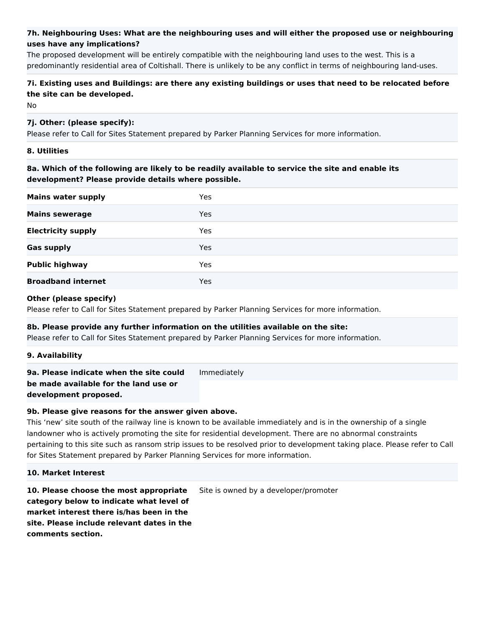## **7h. Neighbouring Uses: What are the neighbouring uses and will either the proposed use or neighbouring uses have any implications?**

The proposed development will be entirely compatible with the neighbouring land uses to the west. This is a predominantly residential area of Coltishall. There is unlikely to be any conflict in terms of neighbouring land-uses.

## **7i. Existing uses and Buildings: are there any existing buildings or uses that need to be relocated before the site can be developed.**

No

## **7j. Other: (please specify):**

Please refer to Call for Sites Statement prepared by Parker Planning Services for more information.

#### **8. Utilities**

**8a. Which of the following are likely to be readily available to service the site and enable its development? Please provide details where possible.**

| <b>Mains water supply</b> | <b>Yes</b> |
|---------------------------|------------|
| <b>Mains sewerage</b>     | <b>Yes</b> |
| <b>Electricity supply</b> | <b>Yes</b> |
| <b>Gas supply</b>         | <b>Yes</b> |
| <b>Public highway</b>     | Yes        |
| <b>Broadband internet</b> | Yes        |

#### **Other (please specify)**

Please refer to Call for Sites Statement prepared by Parker Planning Services for more information.

# **8b. Please provide any further information on the utilities available on the site:**

Please refer to Call for Sites Statement prepared by Parker Planning Services for more information.

#### **9. Availability**

**9a. Please indicate when the site could**  Immediately

**be made available for the land use or development proposed.**

**9b. Please give reasons for the answer given above.**

This 'new' site south of the railway line is known to be available immediately and is in the ownership of a single landowner who is actively promoting the site for residential development. There are no abnormal constraints pertaining to this site such as ransom strip issues to be resolved prior to development taking place. Please refer to Call for Sites Statement prepared by Parker Planning Services for more information.

#### **10. Market Interest**

**10. Please choose the most appropriate category below to indicate what level of market interest there is/has been in the site. Please include relevant dates in the comments section.** Site is owned by a developer/promoter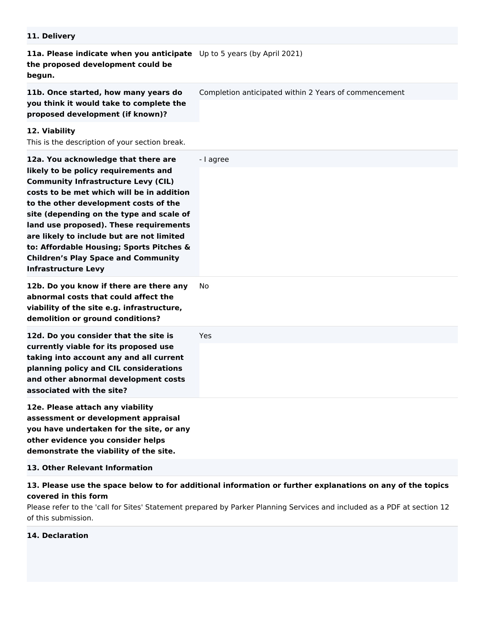| 11. Delivery                                                                                                                                                                                                                                                                                                                                                                                                                                                               |                                                       |
|----------------------------------------------------------------------------------------------------------------------------------------------------------------------------------------------------------------------------------------------------------------------------------------------------------------------------------------------------------------------------------------------------------------------------------------------------------------------------|-------------------------------------------------------|
| 11a. Please indicate when you anticipate Up to 5 years (by April 2021)<br>the proposed development could be<br>begun.                                                                                                                                                                                                                                                                                                                                                      |                                                       |
| 11b. Once started, how many years do<br>you think it would take to complete the<br>proposed development (if known)?                                                                                                                                                                                                                                                                                                                                                        | Completion anticipated within 2 Years of commencement |
| 12. Viability<br>This is the description of your section break.                                                                                                                                                                                                                                                                                                                                                                                                            |                                                       |
| 12a. You acknowledge that there are<br>likely to be policy requirements and<br><b>Community Infrastructure Levy (CIL)</b><br>costs to be met which will be in addition<br>to the other development costs of the<br>site (depending on the type and scale of<br>land use proposed). These requirements<br>are likely to include but are not limited<br>to: Affordable Housing; Sports Pitches &<br><b>Children's Play Space and Community</b><br><b>Infrastructure Levy</b> | - I agree                                             |
| 12b. Do you know if there are there any<br>abnormal costs that could affect the<br>viability of the site e.g. infrastructure,<br>demolition or ground conditions?                                                                                                                                                                                                                                                                                                          | No                                                    |
| 12d. Do you consider that the site is<br>currently viable for its proposed use<br>taking into account any and all current<br>planning policy and CIL considerations<br>and other abnormal development costs<br>associated with the site?                                                                                                                                                                                                                                   | Yes                                                   |
| 12e. Please attach any viability<br>assessment or development appraisal<br>you have undertaken for the site, or any<br>other evidence you consider helps<br>demonstrate the viability of the site.                                                                                                                                                                                                                                                                         |                                                       |
| 13. Other Relevant Information                                                                                                                                                                                                                                                                                                                                                                                                                                             |                                                       |

**13. Please use the space below to for additional information or further explanations on any of the topics covered in this form**

Please refer to the 'call for Sites' Statement prepared by Parker Planning Services and included as a PDF at section 12 of this submission.

# **14. Declaration**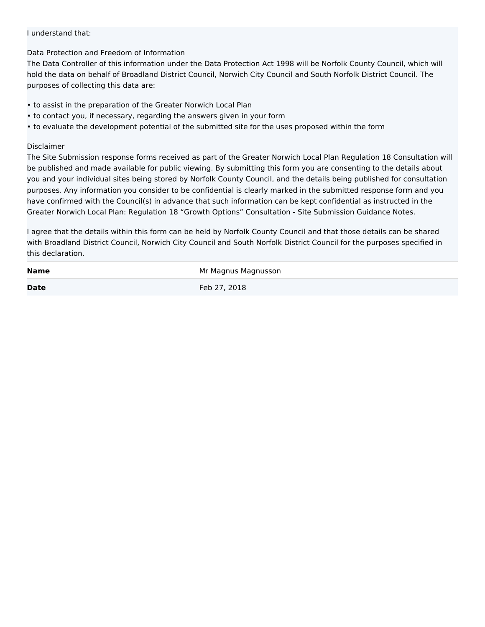#### I understand that:

#### Data Protection and Freedom of Information

The Data Controller of this information under the Data Protection Act 1998 will be Norfolk County Council, which will hold the data on behalf of Broadland District Council, Norwich City Council and South Norfolk District Council. The purposes of collecting this data are:

- to assist in the preparation of the Greater Norwich Local Plan
- to contact you, if necessary, regarding the answers given in your form
- to evaluate the development potential of the submitted site for the uses proposed within the form

#### Disclaimer

The Site Submission response forms received as part of the Greater Norwich Local Plan Regulation 18 Consultation will be published and made available for public viewing. By submitting this form you are consenting to the details about you and your individual sites being stored by Norfolk County Council, and the details being published for consultation purposes. Any information you consider to be confidential is clearly marked in the submitted response form and you have confirmed with the Council(s) in advance that such information can be kept confidential as instructed in the Greater Norwich Local Plan: Regulation 18 "Growth Options" Consultation - Site Submission Guidance Notes.

I agree that the details within this form can be held by Norfolk County Council and that those details can be shared with Broadland District Council, Norwich City Council and South Norfolk District Council for the purposes specified in this declaration.

| <b>Name</b> | Mr Magnus Magnusson |
|-------------|---------------------|
| <b>Date</b> | Feb 27, 2018        |